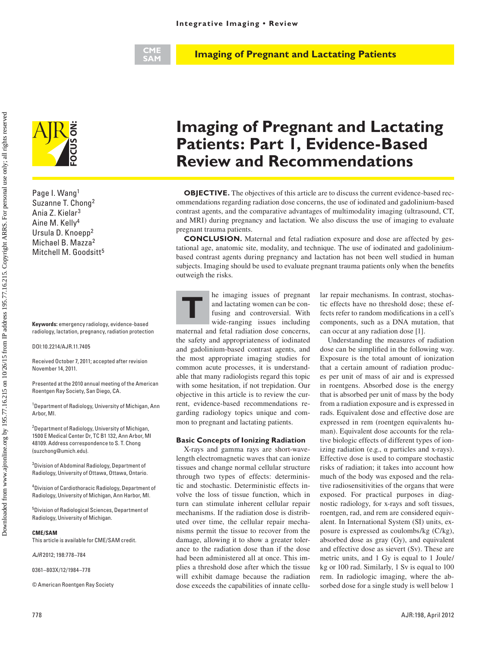## **CME SAM**

**Imaging of Pregnant and Lactating Patients**



Page I. Wang1 Suzanne T. Chong2 Ania Z. Kielar3 Aine M. Kelly4 Ursula D. Knoepp2 Michael B. Mazza2 Mitchell M. Goodsitt<sup>5</sup> **Example 1. Wang1**<br>
Rage 1. Wang1<br>
Suzanne T. Chong<sup>2</sup><br>
Ania Z. Kielar<sup>3</sup><br>
Aine M. Kelly<sup>4</sup><br>
Ursula D. Knoepp<sup>2</sup><br>
Michael B. Mazza<sup>2</sup><br>
Mitchell M. Goodsitt<sup>5</sup><br>
Keywords: emergency radiology, evid<br>
radiology, lactation, pre

**Keywords:** emergency radiology, evidence-based radiology, lactation, pregnancy, radiation protection

DOI:10.2214/AJR.11.7405

Received October 7, 2011; accepted after revision November 14, 2011.

Presented at the 2010 annual meeting of the American

<sup>1</sup> Department of Radiology, University of Michigan, Ann Arbor, MI.

<sup>2</sup> Department of Radiology, University of Michigan, 1500 E Medical Center Dr, TC B1 132, Ann Arbor, MI 48109. Address correspondence to S. T. Chong (suzchong@umich.edu).

3 Division of Abdominal Radiology, Department of Radiology, University of Ottawa, Ottawa, Ontario.

4 Division of Cardiothoracic Radiology, Department of Radiology, University of Michigan, Ann Harbor, MI.

5 Division of Radiological Sciences, Department of Radiology, University of Michigan.

## **CME/SAM**

This article is available for CME/SAM credit.

*AJR* 2012; 198:778–784

0361–803X/12/1984–778

© American Roentgen Ray Society

# **Imaging of Pregnant and Lactating Patients: Part 1, Evidence-Based Review and Recommendations**

**OBJECTIVE.** The objectives of this article are to discuss the current evidence-based recommendations regarding radiation dose concerns, the use of iodinated and gadolinium-based contrast agents, and the comparative advantages of multimodality imaging (ultrasound, CT, and MRI) during pregnancy and lactation. We also discuss the use of imaging to evaluate pregnant trauma patients.

**CONCLUSION.** Maternal and fetal radiation exposure and dose are affected by gestational age, anatomic site, modality, and technique. The use of iodinated and gadoliniumbased contrast agents during pregnancy and lactation has not been well studied in human subjects. Imaging should be used to evaluate pregnant trauma patients only when the benefits outweigh the risks.

**THE SET RESERVING THE IMPLEMENT OF THE ALGO HERE** AND THE STATISTICS AND RESPONSIVE TO THE WILD STATISTICS AND RESPONSIVE TO THE STATISTICS OF THE STATISTICS IN A STATISTICS AND RESPONSIVE TO THE STATISTICS OF THE STATIST and lactating women can be confusing and controversial. With wide-ranging issues including maternal and fetal radiation dose concerns, the safety and appropriateness of iodinated and gadolinium-based contrast agents, and the most appropriate imaging studies for common acute processes, it is understandable that many radiologists regard this topic with some hesitation, if not trepidation. Our objective in this article is to review the current, evidence-based recommendations regarding radiology topics unique and common to pregnant and lactating patients.

## **Basic Concepts of Ionizing Radiation**

X-rays and gamma rays are short-wavelength electromagnetic waves that can ionize tissues and change normal cellular structure through two types of effects: deterministic and stochastic. Deterministic effects involve the loss of tissue function, which in turn can stimulate inherent cellular repair mechanisms. If the radiation dose is distributed over time, the cellular repair mechanisms permit the tissue to recover from the damage, allowing it to show a greater tolerance to the radiation dose than if the dose had been administered all at once. This implies a threshold dose after which the tissue will exhibit damage because the radiation dose exceeds the capabilities of innate cellular repair mechanisms. In contrast, stochastic effects have no threshold dose; these effects refer to random modifications in a cell's components, such as a DNA mutation, that can occur at any radiation dose [1].

Understanding the measures of radiation dose can be simplified in the following way. Exposure is the total amount of ionization that a certain amount of radiation produces per unit of mass of air and is expressed in roentgens. Absorbed dose is the energy that is absorbed per unit of mass by the body from a radiation exposure and is expressed in rads. Equivalent dose and effective dose are expressed in rem (roentgen equivalents human). Equivalent dose accounts for the relative biologic effects of different types of ionizing radiation (e.g., α particles and x-rays). Effective dose is used to compare stochastic risks of radiation; it takes into account how much of the body was exposed and the relative radiosensitivities of the organs that were exposed. For practical purposes in diagnostic radiology, for x-rays and soft tissues, roentgen, rad, and rem are considered equivalent. In International System (SI) units, exposure is expressed as coulombs/kg (C/kg), absorbed dose as gray (Gy), and equivalent and effective dose as sievert (Sv). These are metric units, and 1 Gy is equal to 1 Joule/ kg or 100 rad. Similarly, 1 Sv is equal to 100 rem. In radiologic imaging, where the absorbed dose for a single study is well below 1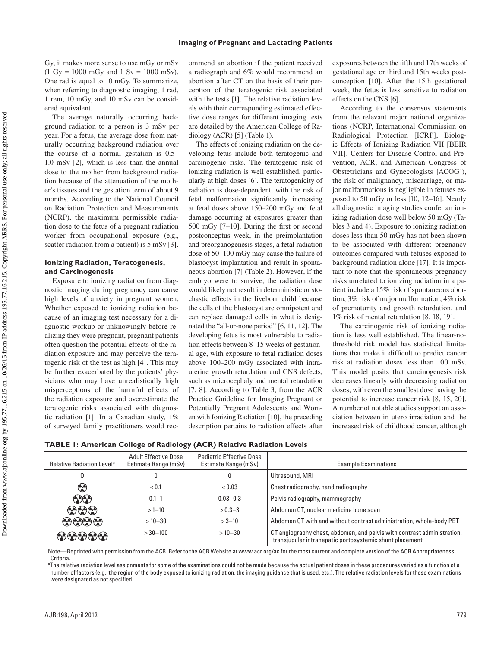Gy, it makes more sense to use mGy or mSv  $(1 \text{ Gy} = 1000 \text{ mGy} \text{ and } 1 \text{ Sv} = 1000 \text{ mSv}).$ One rad is equal to 10 mGy. To summarize, when referring to diagnostic imaging, 1 rad, 1 rem, 10 mGy, and 10 mSv can be considered equivalent.

The average naturally occurring background radiation to a person is 3 mSv per year. For a fetus, the average dose from naturally occurring background radiation over the course of a normal gestation is 0.5– 1.0 mSv [2], which is less than the annual dose to the mother from background radiation because of the attenuation of the mother's tissues and the gestation term of about 9 months. According to the National Council on Radiation Protection and Measurements (NCRP), the maximum permissible radiation dose to the fetus of a pregnant radiation worker from occupational exposure (e.g., scatter radiation from a patient) is 5 mSv [3].

# **Ionizing Radiation, Teratogenesis, and Carcinogenesis**

Exposure to ionizing radiation from diagnostic imaging during pregnancy can cause high levels of anxiety in pregnant women. Whether exposed to ionizing radiation because of an imaging test necessary for a diagnostic workup or unknowingly before realizing they were pregnant, pregnant patients often question the potential effects of the radiation exposure and may perceive the teratogenic risk of the test as high [4]. This may be further exacerbated by the patients' physicians who may have unrealistically high misperceptions of the harmful effects of the radiation exposure and overestimate the teratogenic risks associated with diagnostic radiation [1]. In a Canadian study, 1% of surveyed family practitioners would rec-

ommend an abortion if the patient received a radiograph and 6% would recommend an abortion after CT on the basis of their perception of the teratogenic risk associated with the tests [1]. The relative radiation levels with their corresponding estimated effective dose ranges for different imaging tests are detailed by the American College of Radiology (ACR) [5] (Table 1).

The effects of ionizing radiation on the developing fetus include both teratogenic and carcinogenic risks. The teratogenic risk of ionizing radiation is well established, particularly at high doses [6]. The teratogenicity of radiation is dose-dependent, with the risk of fetal malformation significantly increasing at fetal doses above 150–200 mGy and fetal damage occurring at exposures greater than 500 mGy [7–10]. During the first or second postconceptus week, in the preimplantation and preorganogenesis stages, a fetal radiation dose of 50–100 mGy may cause the failure of blastocyst implantation and result in spontaneous abortion [7] (Table 2). However, if the embryo were to survive, the radiation dose would likely not result in deterministic or stochastic effects in the liveborn child because the cells of the blastocyst are omnipotent and can replace damaged cells in what is designated the "all-or-none period" [6, 11, 12]. The developing fetus is most vulnerable to radiation effects between 8–15 weeks of gestational age, with exposure to fetal radiation doses above 100–200 mGy associated with intrauterine growth retardation and CNS defects, such as microcephaly and mental retardation [7, 8]. According to Table 3, from the ACR Practice Guideline for Imaging Pregnant or Potentially Pregnant Adolescents and Women with Ionizing Radiation [10], the preceding description pertains to radiation effects after

exposures between the fifth and 17th weeks of gestational age or third and 15th weeks postconception [10]. After the 15th gestational week, the fetus is less sensitive to radiation effects on the CNS [6].

According to the consensus statements from the relevant major national organizations (NCRP, International Commission on Radiological Protection [ICRP], Biologic Effects of Ionizing Radiation VII [BEIR VII], Centers for Disease Control and Prevention, ACR, and American Congress of Obstetricians and Gynecologists [ACOG]), the risk of malignancy, miscarriage, or major malformations is negligible in fetuses exposed to 50 mGy or less [10, 12–16]. Nearly all diagnostic imaging studies confer an ionizing radiation dose well below 50 mGy (Tables 3 and 4). Exposure to ionizing radiation doses less than 50 mGy has not been shown to be associated with different pregnancy outcomes compared with fetuses exposed to background radiation alone [17]. It is important to note that the spontaneous pregnancy risks unrelated to ionizing radiation in a patient include a 15% risk of spontaneous abortion, 3% risk of major malformation, 4% risk of prematurity and growth retardation, and 1% risk of mental retardation [8, 18, 19].

The carcinogenic risk of ionizing radiation is less well established. The linear-nothreshold risk model has statistical limitations that make it difficult to predict cancer risk at radiation doses less than 100 mSv. This model posits that carcinogenesis risk decreases linearly with decreasing radiation doses, with even the smallest dose having the potential to increase cancer risk [8, 15, 20]. A number of notable studies support an association between in utero irradiation and the increased risk of childhood cancer, although

| TABLE 1: American College of Radiology (ACR) Relative Radiation Levels |  |  |  |
|------------------------------------------------------------------------|--|--|--|
|                                                                        |  |  |  |

| <b>Relative Radiation Level</b> <sup>a</sup> | <b>Adult Effective Dose</b><br>Estimate Range (mSv) | <b>Pediatric Effective Dose</b><br>Estimate Range (mSv) | <b>Example Examinations</b>                                                                                                        |
|----------------------------------------------|-----------------------------------------------------|---------------------------------------------------------|------------------------------------------------------------------------------------------------------------------------------------|
|                                              |                                                     | 0                                                       | Ultrasound, MRI                                                                                                                    |
| ❀                                            | < 0.1                                               | < 0.03                                                  | Chest radiography, hand radiography                                                                                                |
| $\odot\odot$                                 | $0.1 - 1$                                           | $0.03 - 0.3$                                            | Pelvis radiography, mammography                                                                                                    |
| $\bf \Theta\Theta$                           | $>1 - 10$                                           | $> 0.3 - 3$                                             | Abdomen CT, nuclear medicine bone scan                                                                                             |
| $\odot$ $\odot$ $\odot$                      | $>10 - 30$                                          | $>3 - 10$                                               | Abdomen CT with and without contrast administration, whole-body PET                                                                |
| 00000                                        | $>30 - 100$                                         | $>10 - 30$                                              | CT angiography chest, abdomen, and pelvis with contrast administration;<br>transjugular intrahepatic portosystemic shunt placement |

Note—Reprinted with permission from the ACR. Refer to the ACR Website at www.acr.org/ac for the most current and complete version of the ACR Appropriateness **Criteria** 

a The relative radiation level assignments for some of the examinations could not be made because the actual patient doses in these procedures varied as a function of a number of factors (e.g., the region of the body exposed to ionizing radiation, the imaging guidance that is used, etc.). The relative radiation levels for these examinations were designated as not specified.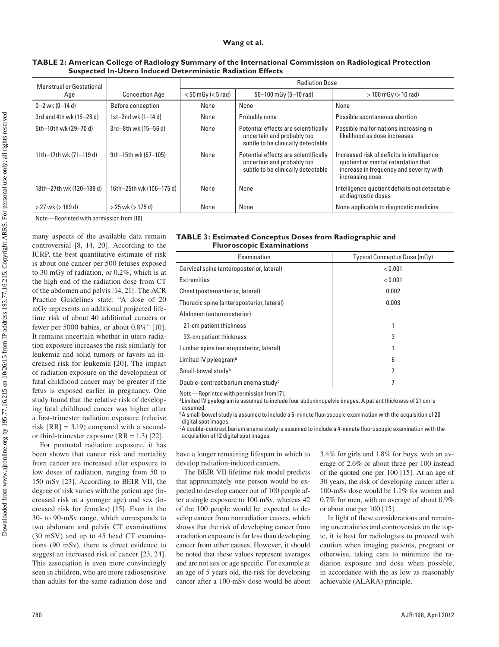## **Wang et al.**

| <b>Menstrual or Gestational</b> |                          | <b>Radiation Dose</b>                              |                                                                                                          |                                                                                                                                                 |  |  |
|---------------------------------|--------------------------|----------------------------------------------------|----------------------------------------------------------------------------------------------------------|-------------------------------------------------------------------------------------------------------------------------------------------------|--|--|
| Age                             | <b>Conception Age</b>    | $< 50$ mGy ( $< 5$ rad)<br>$50-100$ mGy (5-10 rad) |                                                                                                          | $> 100$ mGy ( $> 10$ rad)                                                                                                                       |  |  |
| $0 - 2$ wk (0-14 d)             | Before conception        | None                                               | None                                                                                                     | None                                                                                                                                            |  |  |
| 3rd and 4th wk (15-28 d)        | 1st-2nd wk (1-14 d)      | None                                               | Probably none                                                                                            | Possible spontaneous abortion                                                                                                                   |  |  |
| 5th-10th wk (29-70 d)           | 3rd-8th wk (15-56 d)     | None                                               | Potential effects are scientifically<br>uncertain and probably too<br>subtle to be clinically detectable | Possible malformations increasing in<br>likelihood as dose increases                                                                            |  |  |
| 11th-17th wk (71-119 d)         | 9th-15th wk (57-105)     | None                                               | Potential effects are scientifically<br>uncertain and probably too<br>subtle to be clinically detectable | Increased risk of deficits in intelligence<br>quotient or mental retardation that<br>increase in frequency and severity with<br>increasing dose |  |  |
| 18th-27th wk (120-189 d)        | 16th-25th wk (106-175 d) | None                                               | None                                                                                                     | Intelligence quotient deficits not detectable<br>at diagnostic doses                                                                            |  |  |
| $>$ 27 wk ( $>$ 189 d)          | $>$ 25 wk ( $>$ 175 d)   | None                                               | None                                                                                                     | None applicable to diagnostic medicine                                                                                                          |  |  |

## **TABLE 2: American College of Radiology Summary of the International Commission on Radiological Protection Suspected In-Utero Induced Deterministic Radiation Effects**

Note—Reprinted with permission from [10].

many aspects of the available data remain controversial [8, 14, 20]. According to the ICRP, the best quantitative estimate of risk is about one cancer per 500 fetuses exposed to 30 mGy of radiation, or 0.2%, which is at the high end of the radiation dose from CT of the abdomen and pelvis [14, 21]. The ACR Practice Guidelines state: "A dose of 20 mGy represents an additional projected lifetime risk of about 40 additional cancers or fewer per 5000 babies, or about 0.8%" [10]. It remains uncertain whether in utero radiation exposure increases the risk similarly for leukemia and solid tumors or favors an increased risk for leukemia [20]. The impact of radiation exposure on the development of fatal childhood cancer may be greater if the fetus is exposed earlier in pregnancy. One study found that the relative risk of developing fatal childhood cancer was higher after a first-trimester radiation exposure (relative risk  $[RR] = 3.19$  compared with a secondor third-trimester exposure  $(RR = 1.3)$  [22].

For postnatal radiation exposure, it has been shown that cancer risk and mortality from cancer are increased after exposure to low doses of radiation, ranging from 50 to 150 mSv [23]. According to BEIR VII, the degree of risk varies with the patient age (increased risk at a younger age) and sex (increased risk for females) [15]. Even in the 30- to 90-mSv range, which corresponds to two abdomen and pelvis CT examinations (30 mSV) and up to 45 head CT examinations (90 mSv), there is direct evidence to suggest an increased risk of cancer [23, 24]. This association is even more convincingly seen in children, who are more radiosensitive than adults for the same radiation dose and

|  |                                  |  | <b>TABLE 3: Estimated Conceptus Doses from Radiographic and</b> |  |
|--|----------------------------------|--|-----------------------------------------------------------------|--|
|  | <b>Fluoroscopic Examinations</b> |  |                                                                 |  |

| Examination                                     | Typical Conceptus Dose (mGy) |  |  |
|-------------------------------------------------|------------------------------|--|--|
| Cervical spine (anteroposterior, lateral)       | < 0.001                      |  |  |
| <b>Extremities</b>                              | < 0.001                      |  |  |
| Chest (posteroanterior, lateral)                | 0.002                        |  |  |
| Thoracic spine (anteroposterior, lateral)       | 0.003                        |  |  |
| Abdomen (anteroposterior)                       |                              |  |  |
| 21-cm patient thickness                         |                              |  |  |
| 33-cm patient thickness                         | 3                            |  |  |
| Lumbar spine (anteroposterior, lateral)         |                              |  |  |
| Limited IV pyleogram <sup>a</sup>               | 6                            |  |  |
| Small-bowel studyb                              | 7                            |  |  |
| Double-contrast barium enema study <sup>c</sup> |                              |  |  |

Note—Reprinted with permission from [7].

<sup>a</sup>Limited IV pyelogram is assumed to include four abdominopelvic images. A patient thickness of 21 cm is assumed.

 $bA$  small-bowel study is assumed to include a 6-minute fluoroscopic examination with the acquisition of 20 digital spot images.

cA double-contrast barium enema study is assumed to include a 4-minute fluoroscopic examination with the acquisition of 12 digital spot images.

have a longer remaining lifespan in which to develop radiation-induced cancers.

The BEIR VII lifetime risk model predicts that approximately one person would be expected to develop cancer out of 100 people after a single exposure to 100 mSv, whereas 42 of the 100 people would be expected to develop cancer from nonradiation causes, which shows that the risk of developing cancer from a radiation exposure is far less than developing cancer from other causes. However, it should be noted that these values represent averages and are not sex or age specific. For example at an age of 5 years old, the risk for developing cancer after a 100-mSv dose would be about

3.4% for girls and 1.8% for boys, with an average of 2.6% or about three per 100 instead of the quoted one per 100 [15]. At an age of 30 years, the risk of developing cancer after a 100-mSv dose would be 1.1% for women and 0.7% for men, with an average of about 0.9% or about one per 100 [15].

In light of these considerations and remaining uncertainties and controversies on the topic, it is best for radiologists to proceed with caution when imaging patients, pregnant or otherwise, taking care to minimize the radiation exposure and dose when possible, in accordance with the as low as reasonably achievable (ALARA) principle.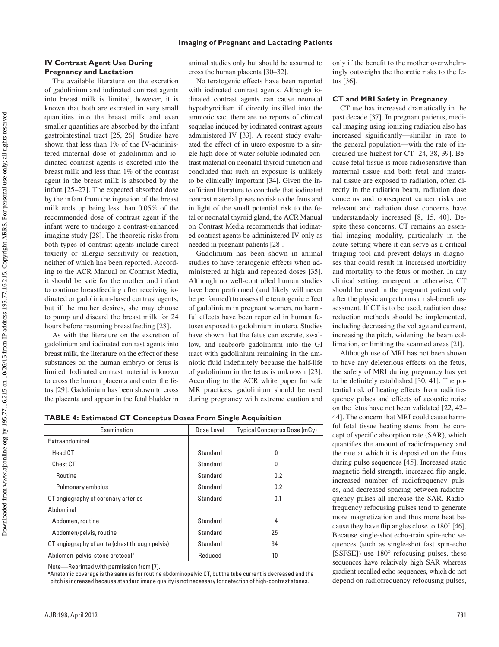## **Imaging of Pregnant and Lactating Patients**

# **IV Contrast Agent Use During Pregnancy and Lactation**

The available literature on the excretion of gadolinium and iodinated contrast agents into breast milk is limited, however, it is known that both are excreted in very small quantities into the breast milk and even smaller quantities are absorbed by the infant gastrointestinal tract [25, 26]. Studies have shown that less than 1% of the IV-administered maternal dose of gadolinium and iodinated contrast agents is excreted into the breast milk and less than 1% of the contrast agent in the breast milk is absorbed by the infant [25–27]. The expected absorbed dose by the infant from the ingestion of the breast milk ends up being less than 0.05% of the recommended dose of contrast agent if the infant were to undergo a contrast-enhanced imaging study [28]. The theoretic risks from both types of contrast agents include direct toxicity or allergic sensitivity or reaction, neither of which has been reported. According to the ACR Manual on Contrast Media, it should be safe for the mother and infant to continue breastfeeding after receiving iodinated or gadolinium-based contrast agents, but if the mother desires, she may choose to pump and discard the breast milk for 24 hours before resuming breastfeeding [28].

As with the literature on the excretion of gadolinium and iodinated contrast agents into breast milk, the literature on the effect of these substances on the human embryo or fetus is limited. Iodinated contrast material is known to cross the human placenta and enter the fetus [29]. Gadolinium has been shown to cross the placenta and appear in the fetal bladder in

animal studies only but should be assumed to cross the human placenta [30–32].

No teratogenic effects have been reported with iodinated contrast agents. Although iodinated contrast agents can cause neonatal hypothyroidism if directly instilled into the amniotic sac, there are no reports of clinical sequelae induced by iodinated contrast agents administered IV [33]. A recent study evaluated the effect of in utero exposure to a single high dose of water-soluble iodinated contrast material on neonatal thyroid function and concluded that such an exposure is unlikely to be clinically important [34]. Given the insufficient literature to conclude that iodinated contrast material poses no risk to the fetus and in light of the small potential risk to the fetal or neonatal thyroid gland, the ACR Manual on Contrast Media recommends that iodinated contrast agents be administered IV only as needed in pregnant patients [28].

Gadolinium has been shown in animal studies to have teratogenic effects when administered at high and repeated doses [35]. Although no well-controlled human studies have been performed (and likely will never be performed) to assess the teratogenic effect of gadolinium in pregnant women, no harmful effects have been reported in human fetuses exposed to gadolinium in utero. Studies have shown that the fetus can excrete, swallow, and reabsorb gadolinium into the GI tract with gadolinium remaining in the amniotic fluid indefinitely because the half-life of gadolinium in the fetus is unknown [23]. According to the ACR white paper for safe MR practices, gadolinium should be used during pregnancy with extreme caution and only if the benefit to the mother overwhelmingly outweighs the theoretic risks to the fetus [36].

## **CT and MRI Safety in Pregnancy**

CT use has increased dramatically in the past decade [37]. In pregnant patients, medical imaging using ionizing radiation also has increased significantly—similar in rate to the general population—with the rate of increased use highest for CT [24, 38, 39]. Because fetal tissue is more radiosensitive than maternal tissue and both fetal and maternal tissue are exposed to radiation, often directly in the radiation beam, radiation dose concerns and consequent cancer risks are relevant and radiation dose concerns have understandably increased [8, 15, 40]. Despite these concerns, CT remains an essential imaging modality, particularly in the acute setting where it can serve as a critical triaging tool and prevent delays in diagnoses that could result in increased morbidity and mortality to the fetus or mother. In any clinical setting, emergent or otherwise, CT should be used in the pregnant patient only after the physician performs a risk-benefit assessment. If CT is to be used, radiation dose reduction methods should be implemented, including decreasing the voltage and current, increasing the pitch, widening the beam collimation, or limiting the scanned areas [21].

Although use of MRI has not been shown to have any deleterious effects on the fetus, the safety of MRI during pregnancy has yet to be definitely established [30, 41]. The potential risk of heating effects from radiofrequency pulses and effects of acoustic noise on the fetus have not been validated [22, 42– 44]. The concern that MRI could cause harmful fetal tissue heating stems from the concept of specific absorption rate (SAR), which quantifies the amount of radiofrequency and the rate at which it is deposited on the fetus during pulse sequences [45]. Increased static magnetic field strength, increased flip angle, increased number of radiofrequency pulses, and decreased spacing between radiofrequency pulses all increase the SAR. Radiofrequency refocusing pulses tend to generate more magnetization and thus more heat because they have flip angles close to 180° [46]. Because single-shot echo-train spin-echo sequences (such as single-shot fast spin-echo [SSFSE]) use 180° refocusing pulses, these sequences have relatively high SAR whereas gradient-recalled echo sequences, which do not depend on radiofrequency refocusing pulses,

**TABLE 4: Estimated CT Conceptus Doses From Single Acquisition**

| Examination                                    | Dose Level | Typical Conceptus Dose (mGy) |
|------------------------------------------------|------------|------------------------------|
| Extraabdominal                                 |            |                              |
| <b>Head CT</b>                                 | Standard   | 0                            |
| Chest CT                                       | Standard   | 0                            |
| Routine                                        | Standard   | 0.2                          |
| Pulmonary embolus                              | Standard   | 0.2                          |
| CT angiography of coronary arteries            | Standard   | 0.1                          |
| Abdominal                                      |            |                              |
| Abdomen, routine                               | Standard   | 4                            |
| Abdomen/pelvis, routine                        | Standard   | 25                           |
| CT angiography of aorta (chest through pelvis) | Standard   | 34                           |
| Abdomen-pelvis, stone protocol <sup>a</sup>    | Reduced    | 10                           |

Note—Reprinted with permission from [7].

aAnatomic coverage is the same as for routine abdominopelvic CT, but the tube current is decreased and the pitch is increased because standard image quality is not necessary for detection of high-contrast stones.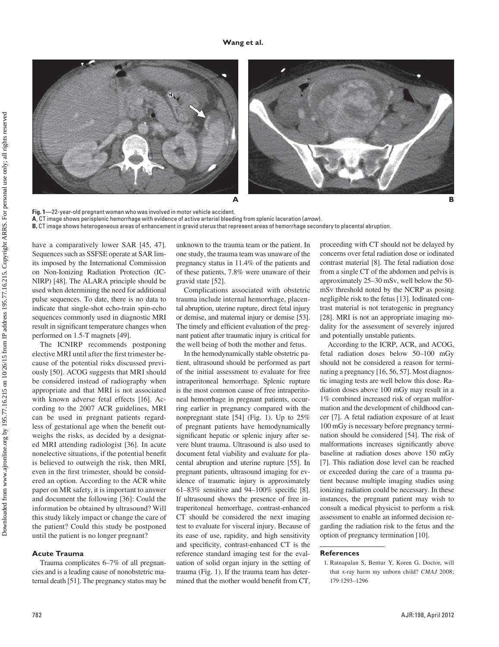

**Fig. 1—**22-year-old pregnant woman who was involved in motor vehicle accident. **A**, CT image shows perisplenic hemorrhage with evidence of active arterial bleeding from splenic laceration (*arrow*). **B,** CT image shows heterogeneous areas of enhancement in gravid uterus that represent areas of hemorrhage secondary to placental abruption.

have a comparatively lower SAR [45, 47]. Sequences such as SSFSE operate at SAR limits imposed by the International Commission on Non-Ionizing Radiation Protection (IC-NIRP) [48]. The ALARA principle should be used when determining the need for additional pulse sequences. To date, there is no data to indicate that single-shot echo-train spin-echo sequences commonly used in diagnostic MRI result in significant temperature changes when performed on 1.5-T magnets [49].

The ICNIRP recommends postponing elective MRI until after the first trimester because of the potential risks discussed previously [50]. ACOG suggests that MRI should be considered instead of radiography when appropriate and that MRI is not associated with known adverse fetal effects [16]. According to the 2007 ACR guidelines, MRI can be used in pregnant patients regardless of gestational age when the benefit outweighs the risks, as decided by a designated MRI attending radiologist [36]. In acute nonelective situations, if the potential benefit is believed to outweigh the risk, then MRI, even in the first trimester, should be considered an option. According to the ACR white paper on MR safety, it is important to answer and document the following [36]: Could the information be obtained by ultrasound? Will this study likely impact or change the care of the patient? Could this study be postponed until the patient is no longer pregnant?

#### **Acute Trauma**

Trauma complicates 6–7% of all pregnancies and is a leading cause of nonobstetric maternal death [51]. The pregnancy status may be unknown to the trauma team or the patient. In one study, the trauma team was unaware of the pregnancy status in 11.4% of the patients and of these patients, 7.8% were unaware of their gravid state [52].

Complications associated with obstetric trauma include internal hemorrhage, placental abruption, uterine rupture, direct fetal injury or demise, and maternal injury or demise [53]. The timely and efficient evaluation of the pregnant patient after traumatic injury is critical for the well being of both the mother and fetus.

In the hemodynamically stable obstetric patient, ultrasound should be performed as part of the initial assessment to evaluate for free intraperitoneal hemorrhage. Splenic rupture is the most common cause of free intraperitoneal hemorrhage in pregnant patients, occurring earlier in pregnancy compared with the nonpregnant state [54] (Fig. 1). Up to 25% of pregnant patients have hemodynamically significant hepatic or splenic injury after severe blunt trauma. Ultrasound is also used to document fetal viability and evaluate for placental abruption and uterine rupture [55]. In pregnant patients, ultrasound imaging for evidence of traumatic injury is approximately 61–83% sensitive and 94–100% specific [8]. If ultrasound shows the presence of free intraperitoneal hemorrhage, contrast-enhanced CT should be considered the next imaging test to evaluate for visceral injury. Because of its ease of use, rapidity, and high sensitivity and specificity, contrast-enhanced CT is the reference standard imaging test for the evaluation of solid organ injury in the setting of trauma (Fig. 1). If the trauma team has determined that the mother would benefit from CT,

proceeding with CT should not be delayed by concerns over fetal radiation dose or iodinated contrast material [8]. The fetal radiation dose from a single CT of the abdomen and pelvis is approximately 25–30 mSv, well below the 50 mSv threshold noted by the NCRP as posing negligible risk to the fetus [13]. Iodinated contrast material is not teratogenic in pregnancy [28]. MRI is not an appropriate imaging modality for the assessment of severely injured and potentially unstable patients.

According to the ICRP, ACR, and ACOG, fetal radiation doses below 50–100 mGy should not be considered a reason for terminating a pregnancy [16, 56, 57]. Most diagnostic imaging tests are well below this dose. Radiation doses above 100 mGy may result in a 1% combined increased risk of organ malformation and the development of childhood cancer [7]. A fetal radiation exposure of at least 100 mGy is necessary before pregnancy termination should be considered [54]. The risk of malformations increases significantly above baseline at radiation doses above 150 mGy [7]. This radiation dose level can be reached or exceeded during the care of a trauma patient because multiple imaging studies using ionizing radiation could be necessary. In these instances, the pregnant patient may wish to consult a medical physicist to perform a risk assessment to enable an informed decision regarding the radiation risk to the fetus and the option of pregnancy termination [10].

## **References**

<sup>1.</sup> Ratnapalan S, Bentur Y, Koren G. Doctor, will that x-ray harm my unborn child? *CMAJ* 2008; 179:1293–1296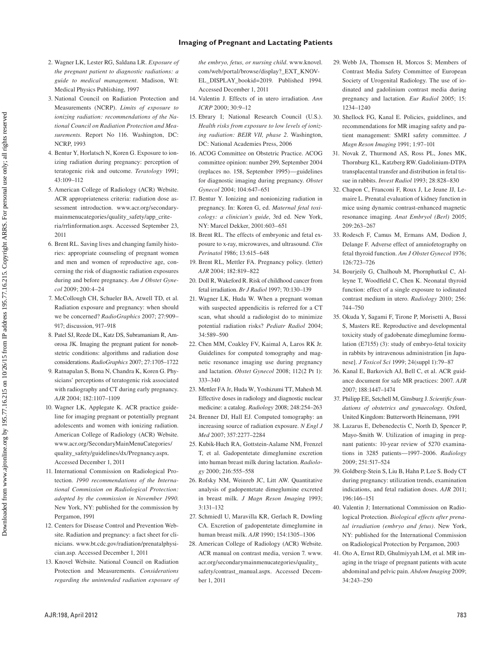## **Imaging of Pregnant and Lactating Patients**

- 2. Wagner LK, Lester RG, Saldana LR. *Exposure of the pregnant patient to diagnostic radiations: a guide to medical management*. Madison, WI: Medical Physics Publishing, 1997
- 3. National Council on Radiation Protection and Measurements (NCRP). *Limits of exposure to ionizing radiation: recommendations of the National Council on Radiation Protection and Measurements*. Report No 116. Washington, DC: NCRP, 1993
- 4. Bentur Y, Horlatsch N, Koren G. Exposure to ionizing radiation during pregnancy: perception of teratogenic risk and outcome. *Teratology* 1991; 43:109–112
- 5. American College of Radiology (ACR) Website. ACR appropriateness criteria: radiation dose assessment introduction. www.acr.org/secondarymainmenucategories/quality\_safety/app\_criteria/rrlinformation.aspx. Accessed September 23, 2011
- 6. Brent RL. Saving lives and changing family histories: appropriate counseling of pregnant women and men and women of reproductive age, concerning the risk of diagnostic radiation exposures during and before pregnancy. *Am J Obstet Gynecol* 2009; 200:4–24
- 7. McCollough CH, Schueler BA, Atwell TD, et al. Radiation exposure and pregnancy: when should we be concerned? *RadioGraphics* 2007; 27:909– 917; discussion, 917–918
- 8. Patel SJ, Reede DL, Katz DS, Subramaniam R, Amorosa JK. Imaging the pregnant patient for nonobstetric conditions: algorithms and radiation dose considerations. *RadioGraphics* 2007; 27:1705–1722
- 9. Ratnapalan S, Bona N, Chandra K, Koren G. Physicians' perceptions of teratogenic risk associated with radiography and CT during early pregnancy. *AJR* 2004; 182:1107–1109
- 10. Wagner LK, Applegate K. ACR practice guideline for imaging pregnant or potentially pregnant adolescents and women with ionizing radiation. American College of Radiology (ACR) Website. www.acr.org/SecondaryMainMenuCategories/ quality\_safety/guidelines/dx/Pregnancy.aspx. Accessed December 1, 2011
- 11. International Commission on Radiological Protection. *1990 recommendations of the International Commission on Radiological Protection: adopted by the commission in November 1990*. New York, NY: published for the commission by Pergamon, 1991
- 12. Centers for Disease Control and Prevention Website. Radiation and pregnancy: a fact sheet for clinicians. www.bt.cdc.gov/radiation/prenatalphysician.asp. Accessed December 1, 2011
- 13. Knovel Website. National Council on Radiation Protection and Measurements. *Considerations regarding the unintended radiation exposure of*

*the embryo, fetus, or nursing child*. www.knovel. com/web/portal/browse/display?\_EXT\_KNOV-EL\_DISPLAY\_bookid=2019. Published 1994. Accessed December 1, 2011

- 14. Valentin J. Effects of in utero irradiation. *Ann ICRP* 2000; 30:9–12
- 15. Ebrary I; National Research Council (U.S.). *Health risks from exposure to low levels of ionizing radiation: BEIR VII, phase 2*. Washington, DC: National Academies Press, 2006
- 16. ACOG Committee on Obstetric Practice. ACOG committee opinion: number 299, September 2004 (replaces no. 158, September 1995)—guidelines for diagnostic imaging during pregnancy. *Obstet Gynecol* 2004; 104:647–651
- 17. Bentur Y. Ionizing and nonionizing radiation in pregnancy. In: Koren G, ed. *Maternal fetal toxicology: a clinician's guide*, 3rd ed. New York, NY: Marcel Dekker, 2001:603–651
- 18. Brent RL. The effects of embryonic and fetal exposure to x-ray, microwaves, and ultrasound. *Clin Perinatol* 1986; 13:615–648
- 19. Brent RL, Mettler FA. Pregnancy policy. (letter) *AJR* 2004; 182:819–822
- 20. Doll R, Wakeford R. Risk of childhood cancer from fetal irradiation. *Br J Radiol* 1997; 70:130–139
- 21. Wagner LK, Huda W. When a pregnant woman with suspected appendicitis is referred for a CT scan, what should a radiologist do to minimize potential radiation risks? *Pediatr Radiol* 2004; 34:589–590
- 22. Chen MM, Coakley FV, Kaimal A, Laros RK Jr. Guidelines for computed tomography and magnetic resonance imaging use during pregnancy and lactation. *Obstet Gynecol* 2008; 112(2 Pt 1): 333–340
- 23. Mettler FA Jr, Huda W, Yoshizumi TT, Mahesh M. Effective doses in radiology and diagnostic nuclear medicine: a catalog. *Radiology* 2008; 248:254–263
- 24. Brenner DJ, Hall EJ. Computed tomography: an increasing source of radiation exposure. *N Engl J Med* 2007; 357:2277–2284
- 25. Kubik-Huch RA, Gottstein-Aalame NM, Frenzel T, et al. Gadopentetate dimeglumine excretion into human breast milk during lactation. *Radiology* 2000; 216:555–558
- 26. Rofsky NM, Weinreb JC, Litt AW. Quantitative analysis of gadopentetate dimeglumine excreted in breast milk. *J Magn Reson Imaging* 1993; 3:131–132
- 27. Schmiedl U, Maravilla KR, Gerlach R, Dowling CA. Excretion of gadopentetate dimeglumine in human breast milk. *AJR* 1990; 154:1305–1306
- 28. American College of Radiology (ACR) Website. ACR manual on contrast media, version 7. www. acr.org/secondarymainmenucategories/quality\_ safety/contrast\_manual.aspx. Accessed December 1, 2011
- 29. Webb JA, Thomsen H, Morcos S; Members of Contrast Media Safety Committee of European Society of Urogenital Radiology. The use of iodinated and gadolinium contrast media during pregnancy and lactation. *Eur Radiol* 2005; 15: 1234–1240
- 30. Shellock FG, Kanal E. Policies, guidelines, and recommendations for MR imaging safety and patient management: SMRI safety committee. *J Magn Reson Imaging* 1991; 1:97–101
- 31. Novak Z, Thurmond AS, Ross PL, Jones MK, Thornburg KL, Katzberg RW. Gadolinium-DTPA transplacental transfer and distribution in fetal tissue in rabbits. *Invest Radiol* 1993; 28:828–830
- 32. Chapon C, Franconi F, Roux J, Le Jeune JJ, Lemaire L. Prenatal evaluation of kidney function in mice using dynamic contrast-enhanced magnetic resonance imaging. *Anat Embryol (Berl)* 2005; 209:263–267
- 33. Rodesch F, Camus M, Ermans AM, Dodion J, Delange F. Adverse effect of amniofetography on fetal thyroid function. *Am J Obstet Gynecol* 1976; 126:723–726
- 34. Bourjeily G, Chalhoub M, Phornphutkul C, Alleyne T, Woodfield C, Chen K. Neonatal thyroid function: effect of a single exposure to iodinated contrast medium in utero. *Radiology* 2010; 256: 744–750
- 35. Okuda Y, Sagami F, Tirone P, Morisetti A, Bussi S, Masters RE. Reproductive and developmental toxicity study of gadobenate dimeglumine formulation (E7155) (3): study of embryo-fetal toxicity in rabbits by intravenous administration [in Japanese]. *J Toxicol Sci* 1999; 24(suppl 1):79–87
- 36. Kanal E, Barkovich AJ, Bell C, et al. ACR guidance document for safe MR practices: 2007. *AJR* 2007; 188:1447–1474
- 37. Philipp EE, Setchell M, Ginsburg J. *Scientific foundations of obstetrics and gynaecology*. Oxford, United Kingdom: Butterworth Heinemann, 1991
- 38. Lazarus E, Debenedectis C, North D, Spencer P, Mayo-Smith W. Utilization of imaging in pregnant patients: 10-year review of 5270 examinations in 3285 patients—1997–2006. *Radiology* 2009; 251:517–524
- 39. Goldberg-Stein S, Liu B, Hahn P, Lee S. Body CT during pregnancy: utilization trends, examination indications, and fetal radiation doses. *AJR* 2011; 196:146–151
- 40. Valentin J; International Commission on Radiological Protection. *Biological effects after prenatal irradiation (embryo and fetus)*. New York, NY: published for the International Commission on Radiological Protection by Pergamon, 2003
- 41. Oto A, Ernst RD, Ghulmiyyah LM, et al. MR imaging in the triage of pregnant patients with acute abdominal and pelvic pain. *Abdom Imaging* 2009; 34:243–250